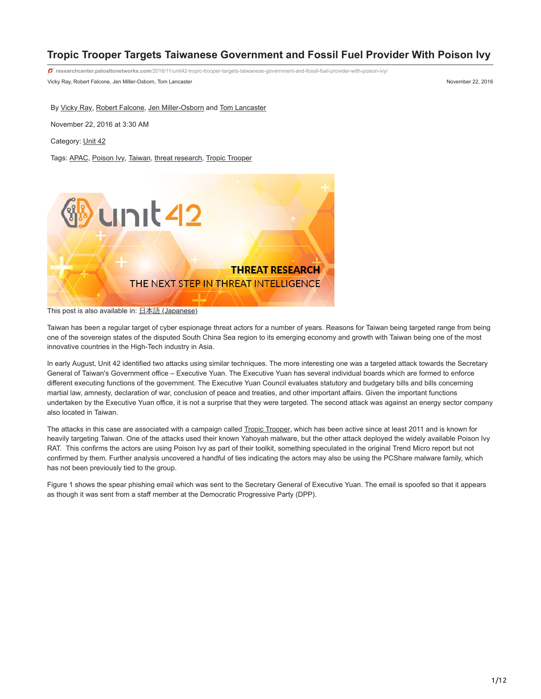# **Tropic Trooper Targets Taiwanese Government and Fossil Fuel Provider With Poison Ivy**

Vicky Ray, Robert Falcone, Jen Miller-Osborn, Tom Lancaster November 22, 2016 **researchcenter.paloaltonetworks.com**[/2016/11/unit42-tropic-trooper-targets-taiwanese-government-and-fossil-fuel-provider-with-poison-ivy/](https://researchcenter.paloaltonetworks.com/2016/11/unit42-tropic-trooper-targets-taiwanese-government-and-fossil-fuel-provider-with-poison-ivy/)

By [Vicky Ray](https://unit42.paloaltonetworks.com/author/vicky-khan/), [Robert Falcone,](https://unit42.paloaltonetworks.com/author/robertfalcone/) [Jen Miller-Osborn](https://unit42.paloaltonetworks.com/author/jen-miller-osborn/) and [Tom Lancaster](https://unit42.paloaltonetworks.com/author/tom-lancaster/)

November 22, 2016 at 3:30 AM

Category: [Unit 42](https://unit42.paloaltonetworks.com/category/unit42/)

Tags: [APAC,](https://unit42.paloaltonetworks.com/tag/apac/) [Poison Ivy](https://unit42.paloaltonetworks.com/tag/poison-ivy/), [Taiwan](https://unit42.paloaltonetworks.com/tag/taiwan/), [threat research,](https://unit42.paloaltonetworks.com/tag/threat-research/) [Tropic Trooper](https://unit42.paloaltonetworks.com/tag/tropic-trooper/)



This post is also available in: 日本語 [\(Japanese\)](https://unit42.paloaltonetworks.jp/unit42-tropic-trooper-targets-taiwanese-government-and-fossil-fuel-provider-with-poison-ivy/)

Taiwan has been a regular target of cyber espionage threat actors for a number of years. Reasons for Taiwan being targeted range from being one of the sovereign states of the disputed South China Sea region to its emerging economy and growth with Taiwan being one of the most innovative countries in the High-Tech industry in Asia.

In early August, Unit 42 identified two attacks using similar techniques. The more interesting one was a targeted attack towards the Secretary General of Taiwan's Government office – Executive Yuan. The Executive Yuan has several individual boards which are formed to enforce different executing functions of the government. The Executive Yuan Council evaluates statutory and budgetary bills and bills concerning martial law, amnesty, declaration of war, conclusion of peace and treaties, and other important affairs. Given the important functions undertaken by the Executive Yuan office, it is not a surprise that they were targeted. The second attack was against an energy sector company also located in Taiwan.

The attacks in this case are associated with a campaign called [Tropic Trooper](http://www.trendmicro.com/cloud-content/us/pdfs/security-intelligence/white-papers/wp-operation-tropic-trooper.pdf), which has been active since at least 2011 and is known for heavily targeting Taiwan. One of the attacks used their known Yahoyah malware, but the other attack deployed the widely available Poison Ivy RAT. This confirms the actors are using Poison Ivy as part of their toolkit, something speculated in the original Trend Micro report but not confirmed by them. Further analysis uncovered a handful of ties indicating the actors may also be using the PCShare malware family, which has not been previously tied to the group.

Figure 1 shows the spear phishing email which was sent to the Secretary General of Executive Yuan. The email is spoofed so that it appears as though it was sent from a staff member at the Democratic Progressive Party (DPP).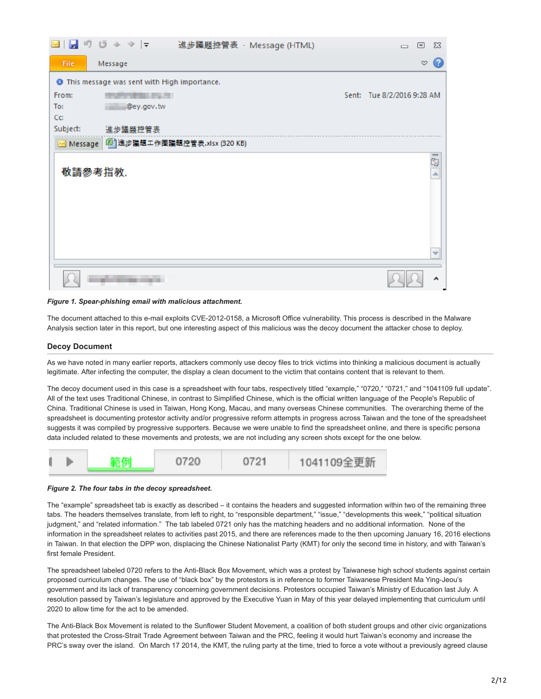|          | $\blacksquare$ りじ $\triangleq$ $\triangledown$ $\vert$ $\downarrow$<br>進步議題控管表 - Message (HTML) | 回<br>$\Sigma$<br>$\overline{\phantom{0}}$ |
|----------|-------------------------------------------------------------------------------------------------|-------------------------------------------|
| File     | Message                                                                                         | B<br>$\heartsuit$                         |
|          | <b>O</b> This message was sent with High importance.                                            |                                           |
| From:    | <b><i>PERSONAL PROPERTY</i></b>                                                                 | Sent: Tue 8/2/2016 9:28 AM                |
| To:      | @ey.gov.tw                                                                                      |                                           |
| Cc:      |                                                                                                 |                                           |
| Subject: | 進步議題控管表                                                                                         |                                           |
| Message  | [4] 進步議題工作圈議題控管表.xlsx (320 KB)                                                                  |                                           |
|          |                                                                                                 | $\overline{\mathbb{R}}$                   |
|          | 敬請參考指教.                                                                                         | ∸                                         |
|          |                                                                                                 |                                           |
|          |                                                                                                 |                                           |
|          |                                                                                                 |                                           |
|          |                                                                                                 |                                           |
|          |                                                                                                 |                                           |
|          |                                                                                                 |                                           |
|          |                                                                                                 | ▼                                         |
|          |                                                                                                 |                                           |
|          |                                                                                                 |                                           |

## *Figure 1. Spear-phishing email with malicious attachment.*

The document attached to this e-mail exploits CVE-2012-0158, a Microsoft Office vulnerability. This process is described in the Malware Analysis section later in this report, but one interesting aspect of this malicious was the decoy document the attacker chose to deploy.

## **Decoy Document**

As we have noted in many earlier reports, attackers commonly use decoy files to trick victims into thinking a malicious document is actually legitimate. After infecting the computer, the display a clean document to the victim that contains content that is relevant to them.

The decoy document used in this case is a spreadsheet with four tabs, respectively titled "example," "0720," "0721," and "1041109 full update". All of the text uses Traditional Chinese, in contrast to Simplified Chinese, which is the official written language of the People's Republic of China. Traditional Chinese is used in Taiwan, Hong Kong, Macau, and many overseas Chinese communities. The overarching theme of the spreadsheet is documenting protestor activity and/or progressive reform attempts in progress across Taiwan and the tone of the spreadsheet suggests it was compiled by progressive supporters. Because we were unable to find the spreadsheet online, and there is specific persona data included related to these movements and protests, we are not including any screen shots except for the one below.

|  | 範例 | 0720 | 0721 | 1041109全更新 |
|--|----|------|------|------------|
|--|----|------|------|------------|

#### *Figure 2. The four tabs in the decoy spreadsheet.*

The "example" spreadsheet tab is exactly as described – it contains the headers and suggested information within two of the remaining three tabs. The headers themselves translate, from left to right, to "responsible department," "issue," "developments this week," "political situation judgment," and "related information." The tab labeled 0721 only has the matching headers and no additional information. None of the information in the spreadsheet relates to activities past 2015, and there are references made to the then upcoming January 16, 2016 elections in Taiwan. In that election the DPP won, displacing the Chinese Nationalist Party (KMT) for only the second time in history, and with Taiwan's first female President.

The spreadsheet labeled 0720 refers to the Anti-Black Box Movement, which was a protest by Taiwanese high school students against certain proposed curriculum changes. The use of "black box" by the protestors is in reference to former Taiwanese President Ma Ying-Jeou's government and its lack of transparency concerning government decisions. Protestors occupied Taiwan's Ministry of Education last July. A resolution passed by Taiwan's legislature and approved by the Executive Yuan in May of this year delayed implementing that curriculum until 2020 to allow time for the act to be amended.

The Anti-Black Box Movement is related to the Sunflower Student Movement, a coalition of both student groups and other civic organizations that protested the Cross-Strait Trade Agreement between Taiwan and the PRC, feeling it would hurt Taiwan's economy and increase the PRC's sway over the island. On March 17 2014, the KMT, the ruling party at the time, tried to force a vote without a previously agreed clause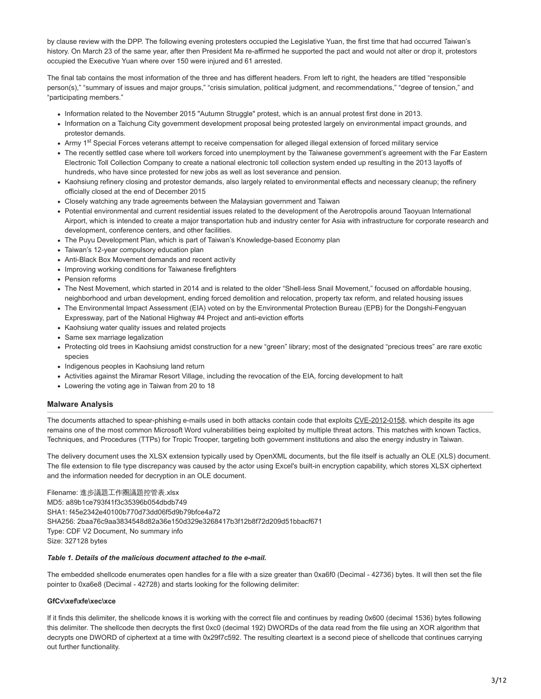by clause review with the DPP. The following evening protesters occupied the Legislative Yuan, the first time that had occurred Taiwan's history. On March 23 of the same year, after then President Ma re-affirmed he supported the pact and would not alter or drop it, protestors occupied the Executive Yuan where over 150 were injured and 61 arrested.

The final tab contains the most information of the three and has different headers. From left to right, the headers are titled "responsible person(s)," "summary of issues and major groups," "crisis simulation, political judgment, and recommendations," "degree of tension," and "participating members."

- Information related to the November 2015 "Autumn Struggle" protest, which is an annual protest first done in 2013.
- Information on a Taichung City government development proposal being protested largely on environmental impact grounds, and protestor demands.
- Army 1<sup>st</sup> Special Forces veterans attempt to receive compensation for alleged illegal extension of forced military service
- The recently settled case where toll workers forced into unemployment by the Taiwanese government's agreement with the Far Eastern Electronic Toll Collection Company to create a national electronic toll collection system ended up resulting in the 2013 layoffs of hundreds, who have since protested for new jobs as well as lost severance and pension.
- Kaohsiung refinery closing and protestor demands, also largely related to environmental effects and necessary cleanup; the refinery officially closed at the end of December 2015
- Closely watching any trade agreements between the Malaysian government and Taiwan
- Potential environmental and current residential issues related to the development of the Aerotropolis around Taoyuan International Airport, which is intended to create a major transportation hub and industry center for Asia with infrastructure for corporate research and development, conference centers, and other facilities.
- The Puyu Development Plan, which is part of Taiwan's Knowledge-based Economy plan
- Taiwan's 12-year compulsory education plan
- Anti-Black Box Movement demands and recent activity
- Improving working conditions for Taiwanese firefighters
- Pension reforms
- The Nest Movement, which started in 2014 and is related to the older "Shell-less Snail Movement," focused on affordable housing, neighborhood and urban development, ending forced demolition and relocation, property tax reform, and related housing issues
- The Environmental Impact Assessment (EIA) voted on by the Environmental Protection Bureau (EPB) for the Dongshi-Fengyuan Expressway, part of the National Highway #4 Project and anti-eviction efforts
- Kaohsiung water quality issues and related projects
- Same sex marriage legalization
- Protecting old trees in Kaohsiung amidst construction for a new "green" library; most of the designated "precious trees" are rare exotic species
- Indigenous peoples in Kaohsiung land return
- Activities against the Miramar Resort Village, including the revocation of the EIA, forcing development to halt
- Lowering the voting age in Taiwan from 20 to 18

# **Malware Analysis**

The documents attached to spear-phishing e-mails used in both attacks contain code that exploits [CVE-2012-0158](https://www.sophos.com/en-us/medialibrary/PDFs/technical%20papers/CVE-2012-0158-An-Anatomy-of-a-Prolific-Exploit.PDF), which despite its age remains one of the most common Microsoft Word vulnerabilities being exploited by multiple threat actors. This matches with known Tactics, Techniques, and Procedures (TTPs) for Tropic Trooper, targeting both government institutions and also the energy industry in Taiwan.

The delivery document uses the XLSX extension typically used by OpenXML documents, but the file itself is actually an OLE (XLS) document. The file extension to file type discrepancy was caused by the actor using Excel's built-in encryption capability, which stores XLSX ciphertext and the information needed for decryption in an OLE document.

Filename: 進步議題工作圈議題控管表.xlsx MD5: a89b1ce793f41f3c35396b054dbdb749 SHA1: f45e2342e40100b770d73dd06f5d9b79bfce4a72 SHA256: 2baa76c9aa3834548d82a36e150d329e3268417b3f12b8f72d209d51bbacf671 Type: CDF V2 Document, No summary info Size: 327128 bytes

## *Table 1. Details of the malicious document attached to the e-mail.*

The embedded shellcode enumerates open handles for a file with a size greater than 0xa6f0 (Decimal - 42736) bytes. It will then set the file pointer to 0xa6e8 (Decimal - 42728) and starts looking for the following delimiter:

# **GfCv\xef\xfe\xec\xce**

If it finds this delimiter, the shellcode knows it is working with the correct file and continues by reading 0x600 (decimal 1536) bytes following this delimiter. The shellcode then decrypts the first 0xc0 (decimal 192) DWORDs of the data read from the file using an XOR algorithm that decrypts one DWORD of ciphertext at a time with 0x29f7c592. The resulting cleartext is a second piece of shellcode that continues carrying out further functionality.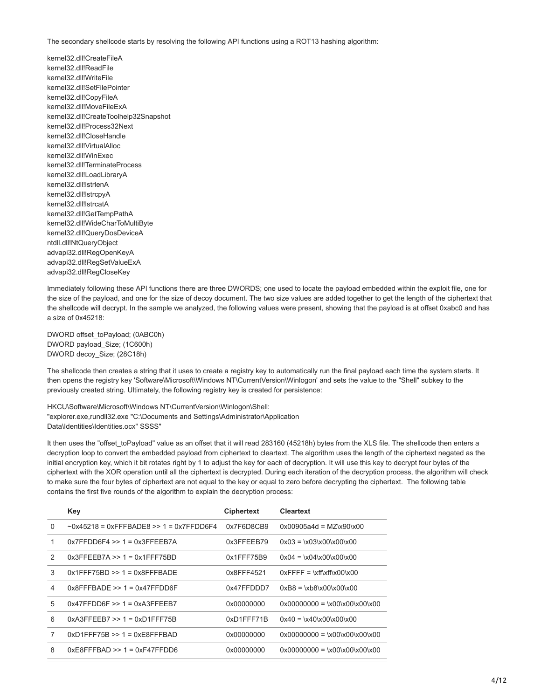The secondary shellcode starts by resolving the following API functions using a ROT13 hashing algorithm:

kernel32.dll!CreateFileA kernel32.dll!ReadFile kernel32.dll!WriteFile kernel32.dll!SetFilePointer kernel32.dll!CopyFileA kernel32.dll!MoveFileExA kernel32.dll!CreateToolhelp32Snapshot kernel32.dll!Process32Next kernel32.dll!CloseHandle kernel32.dll!VirtualAlloc kernel32.dll!WinExec kernel32.dll!TerminateProcess kernel32.dll!LoadLibraryA kernel32.dll!lstrlenA kernel32.dll!lstrcpyA kernel32.dll!lstrcatA kernel32.dll!GetTempPathA kernel32.dll!WideCharToMultiByte kernel32.dll!QueryDosDeviceA ntdll.dll!NtQueryObject advapi32.dll!RegOpenKeyA advapi32.dll!RegSetValueExA advapi32.dll!RegCloseKey

Immediately following these API functions there are three DWORDS; one used to locate the payload embedded within the exploit file, one for the size of the payload, and one for the size of decoy document. The two size values are added together to get the length of the ciphertext that the shellcode will decrypt. In the sample we analyzed, the following values were present, showing that the payload is at offset 0xabc0 and has a size of 0x45218:

DWORD offset\_toPayload; (0ABC0h) DWORD payload\_Size; (1C600h) DWORD decoy\_Size; (28C18h)

The shellcode then creates a string that it uses to create a registry key to automatically run the final payload each time the system starts. It then opens the registry key 'Software\Microsoft\Windows NT\CurrentVersion\Winlogon' and sets the value to the "Shell" subkey to the previously created string. Ultimately, the following registry key is created for persistence:

HKCU\Software\Microsoft\Windows NT\CurrentVersion\Winlogon\Shell: "explorer.exe,rundll32.exe "C:\Documents and Settings\Administrator\Application Data\Identities\Identities.ocx" SSSS"

It then uses the "offset toPayload" value as an offset that it will read 283160 (45218h) bytes from the XLS file. The shellcode then enters a decryption loop to convert the embedded payload from ciphertext to cleartext. The algorithm uses the length of the ciphertext negated as the initial encryption key, which it bit rotates right by 1 to adjust the key for each of decryption. It will use this key to decrypt four bytes of the ciphertext with the XOR operation until all the ciphertext is decrypted. During each iteration of the decryption process, the algorithm will check to make sure the four bytes of ciphertext are not equal to the key or equal to zero before decrypting the ciphertext. The following table contains the first five rounds of the algorithm to explain the decryption process:

|               | Key                                           | <b>Ciphertext</b> | <b>Cleartext</b>                                         |
|---------------|-----------------------------------------------|-------------------|----------------------------------------------------------|
| $\Omega$      | $\sim$ 0x45218 = 0xFFFBADF8 >> 1 = 0x7FFDD6F4 | 0x7F6D8CB9        | $0x00905a4d = M7x90x00$                                  |
| 1             | $0x7FFDD6F4 >> 1 = 0x3FFEEB7A$                | 0x3FFEEB79        | $0x03 = x03x00x00x00$                                    |
| $\mathcal{P}$ | $0x3$ FFEEB7A >> 1 = $0x1$ FFF75BD            | $0x1$ FFF75B9     | $0x04 = x04x00x00x00$                                    |
| 3             | $0x1$ FFF75BD >> 1 = $0x8$ FFFBADE            | 0x8FFF4521        | $0x$ FFFF = \xff\xff\x $00\$ x $00$                      |
| 4             | $0x8$ FFFBADF >> 1 = $0x47$ FFDD6F            | 0x47FFDDD7        | $0xB8 = \kappa 8 \times 00 \times 00 \times 00$          |
| 5             | $0x47FFDD6F >> 1 = 0xA3FFFFB7$                | 0x00000000        | $0x00000000 = x00x00x00x00$                              |
| 6             | $0xA3FFFFB7 >> 1 = 0xD1FFF75B$                | 0xD1FFF71B        | $0x40 = x40x00x00x00$                                    |
| 7             | $0x$ D1FFF75B >> 1 = $0xE8$ FFFBAD            | 0x00000000        | $0 \times 00000000 = \x00 \times 00 \times 00 \times 00$ |
| 8             | $0xE8FFFBAD >> 1 = 0xF47FFDD6$                | 0x00000000        | $0x00000000 = x00x00x00x00$                              |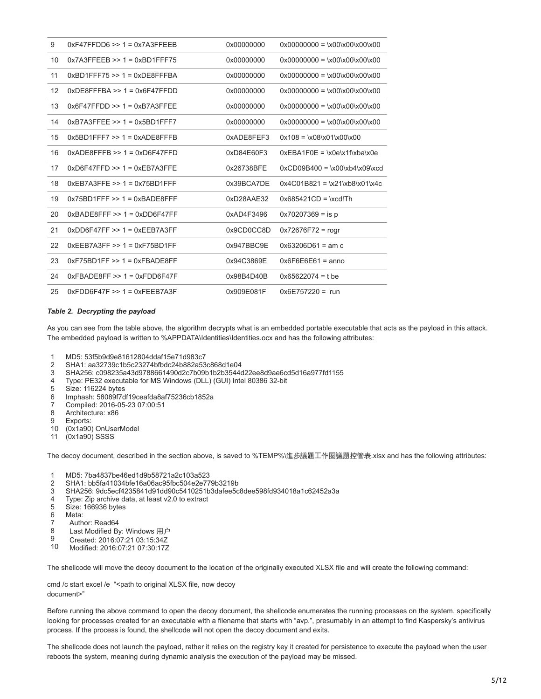| 9  | $0xF47FFDD6 \gg 1 = 0x7A3FFEEB$      | 0x00000000 | $0 \times 00000000 = \x00 \times 00 \times 00 \times 00$ |
|----|--------------------------------------|------------|----------------------------------------------------------|
| 10 | $0x7A3FEEB \gg 1 = 0xBD1FFF75$       | 0x00000000 | $0x00000000 = \x00\x00\x00\x00\x00$                      |
| 11 | $0xBD1FFF75 >> 1 = 0xDF8FFFBA$       | 0x00000000 | $0x00000000 = \x00\x00\x00\x00\x00$                      |
| 12 | $0xDE8FFFBA \gg 1 = 0x6F47FFDD$      | 0x00000000 | $0 \times 00000000 = \x00 \times 00 \times 00 \times 00$ |
| 13 | $0x6F47FFDD >> 1 = 0xB7A3FFEE$       | 0x00000000 | $0x00000000 = \x00\x00\x00\x00\x00$                      |
| 14 | $0xB7A3FFEE \gg 1 = 0x5BD1FFF7$      | 0x00000000 | $0x00000000 = \x00\x00\x00\x00\x00$                      |
| 15 | $0x5BD1FFF7 >> 1 = 0xADE8FFFB$       | 0xADE8FEF3 | $0x108 = \x08 \x01 \x00 \x00$                            |
| 16 | $0xADE8FFFB \gg 1 = 0xD6F47FFD$      | 0xD84E60F3 | $0xEBA1F0E = \x0e\x1f\xba\x0e$                           |
| 17 | $0x$ D6F47FFD $\geq 1 = 0xEB$ 7A3FFE | 0x26738BFE | $0xCD09B400 = \x00\xb4\x09\xcd$                          |
| 18 | $0xEB7A3FFE \gg 1 = 0x75BD1FFF$      | 0x39BCA7DE | $0x4C01B821 = \x21\xb8\x01\x4c$                          |
| 19 | $0x75BD1FF \gg 1 = 0xBADE8FFF$       | 0xD28AAE32 | $0x685421CD = xcd!Th$                                    |
| 20 | $0xBADE8FFF >> 1 = 0xDD6F47FF$       | 0xAD4F3496 | $0x70207369 =$ is p                                      |
| 21 | $0xDD6F47FF \gg 1 = 0xEEB7A3FF$      | 0x9CD0CC8D | $0x72676F72 = rogr$                                      |
| 22 | $0xFFB7A3FF >> 1 = 0xF75BD1FF$       | 0x947BBC9E | $0x63206D61 = am c$                                      |
| 23 | $0xF75BD1FF \gg 1 = 0xFBADE8FF$      | 0x94C3869E | $0x6F6E6E61 = anno$                                      |
| 24 | $0xFBADE8FF \gg 1 = 0xFDD6F47F$      | 0x98B4D40B | $0x65622074 = t$ be                                      |
| 25 | $0xFDD6F47F \gg 1 = 0xFEEB7A3F$      | 0x909E081F | $0x6E757220 = run$                                       |

### *Table 2. Decrypting the payload*

As you can see from the table above, the algorithm decrypts what is an embedded portable executable that acts as the payload in this attack. The embedded payload is written to %APPDATA\Identities\Identities.ocx and has the following attributes:

- 1 MD5: 53f5b9d9e81612804ddaf15e71d983c7
- $\mathfrak{D}$ SHA1: aa32739c1b5c23274bfbdc24b882a53c868d1e04
- 3 SHA256: c098235a43d9788661490d2c7b09b1b2b3544d22ee8d9ae6cd5d16a977fd1155
- 4 Type: PE32 executable for MS Windows (DLL) (GUI) Intel 80386 32-bit
- 5 Size: 116224 bytes
- 6 Imphash: 58089f7df19ceafda8af75236cb1852a
- 7 Compiled: 2016-05-23 07:00:51
- 8 Architecture: x86
- $9<sup>°</sup>$ Exports:
- 10 (0x1a90) OnUserModel
- 11 (0x1a90) SSSS

The decoy document, described in the section above, is saved to %TEMP%\進步議題工作圈議題控管表.xlsx and has the following attributes:

- 1 MD5: 7ba4837be46ed1d9b58721a2c103a523
- $\mathfrak{p}$ SHA1: bb5fa41034bfe16a06ac95fbc504e2e779b3219b
- 3 SHA256: 9dc5ecf4235841d91dd90c5410251b3dafee5c8dee598fd934018a1c62452a3a
- 4 Type: Zip archive data, at least v2.0 to extract
- 5 Size: 166936 bytes
- 6 Meta:
- 7 Author: Read64
- 8 Last Modified By: Windows 用户
- 9 Created: 2016:07:21 03:15:34Z
- 10 Modified: 2016:07:21 07:30:17Z

The shellcode will move the decoy document to the location of the originally executed XLSX file and will create the following command:

cmd /c start excel /e "<path to original XLSX file, now decoy document>"

Before running the above command to open the decoy document, the shellcode enumerates the running processes on the system, specifically looking for processes created for an executable with a filename that starts with "avp.", presumably in an attempt to find Kaspersky's antivirus process. If the process is found, the shellcode will not open the decoy document and exits.

The shellcode does not launch the payload, rather it relies on the registry key it created for persistence to execute the payload when the user reboots the system, meaning during dynamic analysis the execution of the payload may be missed.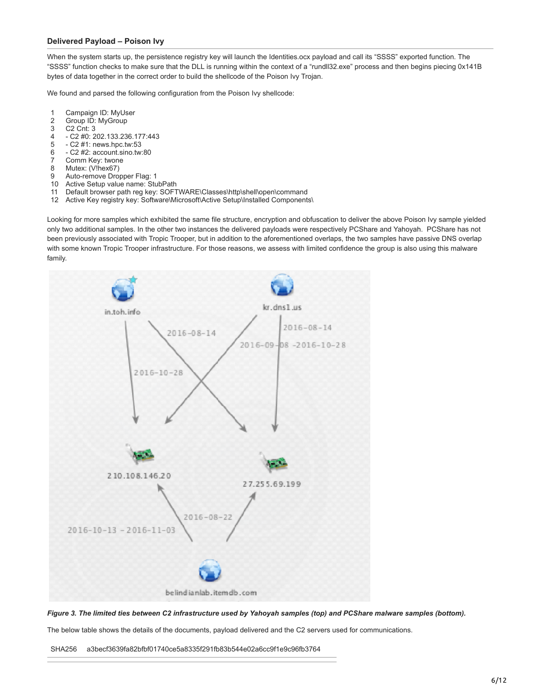# **Delivered Payload – Poison Ivy**

When the system starts up, the persistence registry key will launch the Identities.ocx payload and call its "SSSS" exported function. The "SSSS" function checks to make sure that the DLL is running within the context of a "rundll32.exe" process and then begins piecing 0x141B bytes of data together in the correct order to build the shellcode of the Poison Ivy Trojan.

We found and parsed the following configuration from the Poison Ivy shellcode:

- 1 Campaign ID: MyUser
- 2 Group ID: MyGroup
- 3 C2 Cnt: 3
- 4 - C2 #0: 202.133.236.177:443
- 5 - C2 #1: news.hpc.tw:53
- 6 - C2 #2: account.sino.tw:80
- 7 Comm Key: twone
- 8 Mutex: (V!hex67)
- 9 Auto-remove Dropper Flag: 1
- 10 Active Setup value name: StubPath
- 11 Default browser path reg key: SOFTWARE\Classes\http\shell\open\command
- 12 Active Key registry key: Software\Microsoft\Active Setup\Installed Components\

Looking for more samples which exhibited the same file structure, encryption and obfuscation to deliver the above Poison Ivy sample yielded only two additional samples. In the other two instances the delivered payloads were respectively PCShare and Yahoyah. PCShare has not been previously associated with Tropic Trooper, but in addition to the aforementioned overlaps, the two samples have passive DNS overlap with some known Tropic Trooper infrastructure. For those reasons, we assess with limited confidence the group is also using this malware family.



*Figure 3. The limited ties between C2 infrastructure used by Yahoyah samples (top) and PCShare malware samples (bottom).*

The below table shows the details of the documents, payload delivered and the C2 servers used for communications.

SHA256 a3becf3639fa82bfbf01740ce5a8335f291fb83b544e02a6cc9f1e9c96fb3764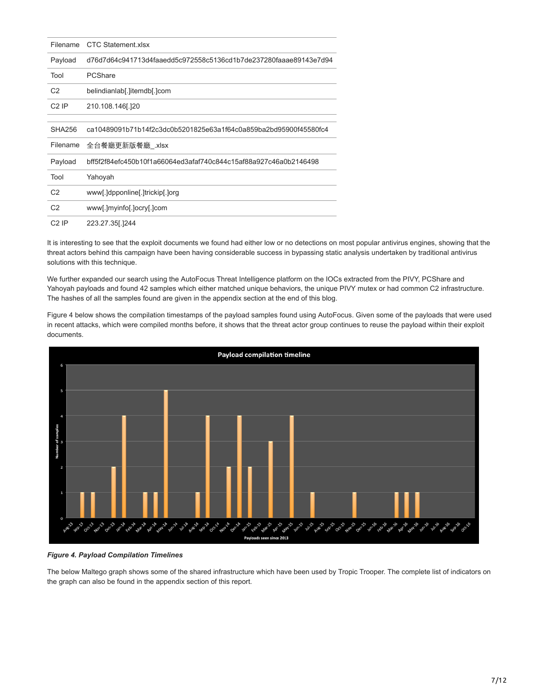| Filename       | <b>CTC Statement xlsx</b>                                        |
|----------------|------------------------------------------------------------------|
| Payload        | d76d7d64c941713d4faaedd5c972558c5136cd1b7de237280faaae89143e7d94 |
| Tool           | PCShare                                                          |
| C <sub>2</sub> | belindianlab[.]itemdb[.]com                                      |
| $C2$ IP        | 210.108.146[.]20                                                 |
|                |                                                                  |
| <b>SHA256</b>  | ca10489091b71b14f2c3dc0b5201825e63a1f64c0a859ba2bd95900f45580fc4 |
| Filename       | 全台餐廳更新版餐廳_.xlsx                                                  |
| Payload        | bff5f2f84efc450b10f1a66064ed3afaf740c844c15af88a927c46a0b2146498 |
| Tool           | Yahoyah                                                          |
| C <sub>2</sub> | www[.]dpponline[.]trickip[.]org                                  |
| C <sub>2</sub> | www[.]myinfo[.]ocry[.]com                                        |
| $C2$ IP        | 223.27.35[.]244                                                  |

It is interesting to see that the exploit documents we found had either low or no detections on most popular antivirus engines, showing that the threat actors behind this campaign have been having considerable success in bypassing static analysis undertaken by traditional antivirus solutions with this technique.

We further expanded our search using the AutoFocus Threat Intelligence platform on the IOCs extracted from the PIVY, PCShare and Yahoyah payloads and found 42 samples which either matched unique behaviors, the unique PIVY mutex or had common C2 infrastructure. The hashes of all the samples found are given in the appendix section at the end of this blog.

Figure 4 below shows the compilation timestamps of the payload samples found using AutoFocus. Given some of the payloads that were used in recent attacks, which were compiled months before, it shows that the threat actor group continues to reuse the payload within their exploit documents.



## *Figure 4. Payload Compilation Timelines*

The below Maltego graph shows some of the shared infrastructure which have been used by Tropic Trooper. The complete list of indicators on the graph can also be found in the appendix section of this report.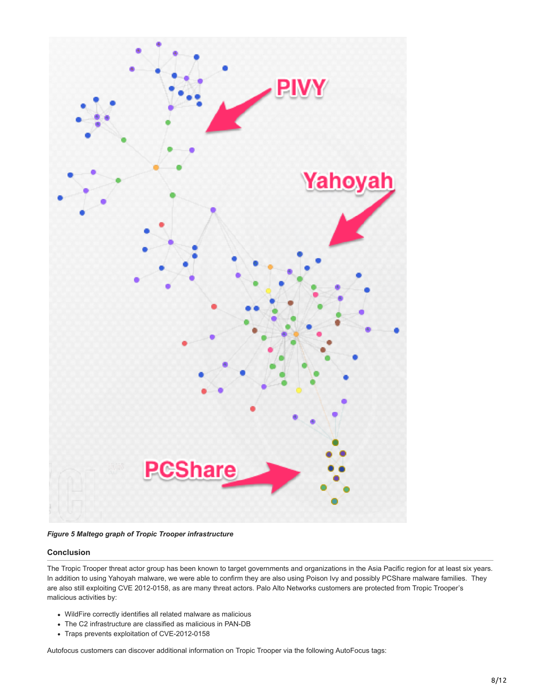

*Figure 5 Maltego graph of Tropic Trooper infrastructure*

# **Conclusion**

The Tropic Trooper threat actor group has been known to target governments and organizations in the Asia Pacific region for at least six years. In addition to using Yahoyah malware, we were able to confirm they are also using Poison Ivy and possibly PCShare malware families. They are also still exploiting CVE 2012-0158, as are many threat actors. Palo Alto Networks customers are protected from Tropic Trooper's malicious activities by:

- WildFire correctly identifies all related malware as malicious
- The C2 infrastructure are classified as malicious in PAN-DB
- Traps prevents exploitation of CVE-2012-0158

Autofocus customers can discover additional information on Tropic Trooper via the following AutoFocus tags: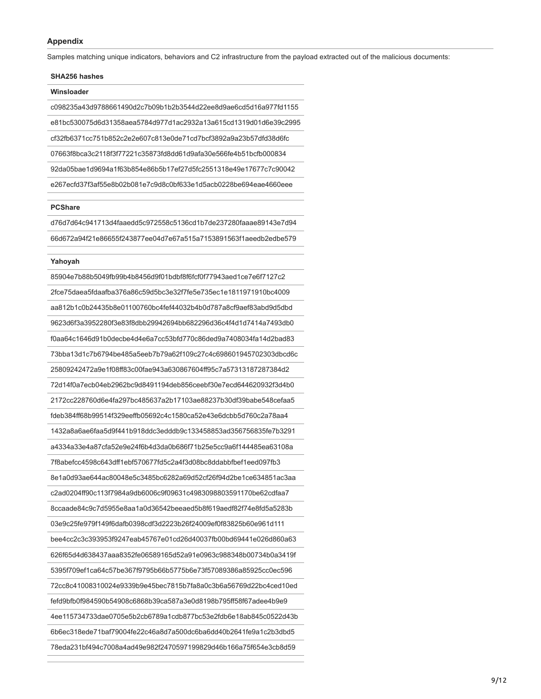## **Appendix**

**SHA256 hashes**

Samples matching unique indicators, behaviors and C2 infrastructure from the payload extracted out of the malicious documents:

| <b>UILALUU IILUSIILUS</b>                                        |  |
|------------------------------------------------------------------|--|
| Winsloader                                                       |  |
| c098235a43d9788661490d2c7b09b1b2b3544d22ee8d9ae6cd5d16a977fd1155 |  |
| e81bc530075d6d31358aea5784d977d1ac2932a13a615cd1319d01d6e39c2995 |  |
| cf32fb6371cc751b852c2e2e607c813e0de71cd7bcf3892a9a23b57dfd38d6fc |  |
| 07663f8bca3c2118f3f77221c35873fd8dd61d9afa30e566fe4b51bcfb000834 |  |
| 92da05bae1d9694a1f63b854e86b5b17ef27d5fc2551318e49e17677c7c90042 |  |
| e267ecfd37f3af55e8b02b081e7c9d8c0bf633e1d5acb0228be694eae4660eee |  |

#### **PCShare**

d76d7d64c941713d4faaedd5c972558c5136cd1b7de237280faaae89143e7d94 66d672a94f21e86655f243877ee04d7e67a515a7153891563f1aeedb2edbe579

#### **Yahoyah**

85904e7b88b5049fb99b4b8456d9f01bdbf8f6fcf0f77943aed1ce7e6f7127c2 2fce75daea5fdaafba376a86c59d5bc3e32f7fe5e735ec1e1811971910bc4009 aa812b1c0b24435b8e01100760bc4fef44032b4b0d787a8cf9aef83abd9d5dbd 9623d6f3a3952280f3e83f8dbb29942694bb682296d36c4f4d1d7414a7493db0 f0aa64c1646d91b0decbe4d4e6a7cc53bfd770c86ded9a7408034fa14d2bad83 73bba13d1c7b6794be485a5eeb7b79a62f109c27c4c698601945702303dbcd6c 25809242472a9e1f08ff83c00fae943a630867604ff95c7a57313187287384d2 72d14f0a7ecb04eb2962bc9d8491194deb856ceebf30e7ecd644620932f3d4b0 2172cc228760d6e4fa297bc485637a2b17103ae88237b30df39babe548cefaa5 fdeb384ff68b99514f329eeffb05692c4c1580ca52e43e6dcbb5d760c2a78aa4 1432a8a6ae6faa5d9f441b918ddc3edddb9c133458853ad356756835fe7b3291 a4334a33e4a87cfa52e9e24f6b4d3da0b686f71b25e5cc9a6f144485ea63108a 7f8abefcc4598c643dff1ebf570677fd5c2a4f3d08bc8ddabbfbef1eed097fb3 8e1a0d93ae644ac80048e5c3485bc6282a69d52cf26f94d2be1ce634851ac3aa c2ad0204ff90c113f7984a9db6006c9f09631c4983098803591170be62cdfaa7 8ccaade84c9c7d5955e8aa1a0d36542beeaed5b8f619aedf82f74e8fd5a5283b 03e9c25fe979f149f6dafb0398cdf3d2223b26f24009ef0f83825b60e961d111 bee4cc2c3c393953f9247eab45767e01cd26d40037fb00bd69441e026d860a63 626f65d4d638437aaa8352fe06589165d52a91e0963c988348b00734b0a3419f 5395f709ef1ca64c57be367f9795b66b5775b6e73f57089386a85925cc0ec596 72cc8c41008310024e9339b9e45bec7815b7fa8a0c3b6a56769d22bc4ced10ed fefd9bfb0f984590b54908c6868b39ca587a3e0d8198b795ff58f67adee4b9e9 4ee115734733dae0705e5b2cb6789a1cdb877bc53e2fdb6e18ab845c0522d43b 6b6ec318ede71baf79004fe22c46a8d7a500dc6ba6dd40b2641fe9a1c2b3dbd5 78eda231bf494c7008a4ad49e982f2470597199829d46b166a75f654e3cb8d59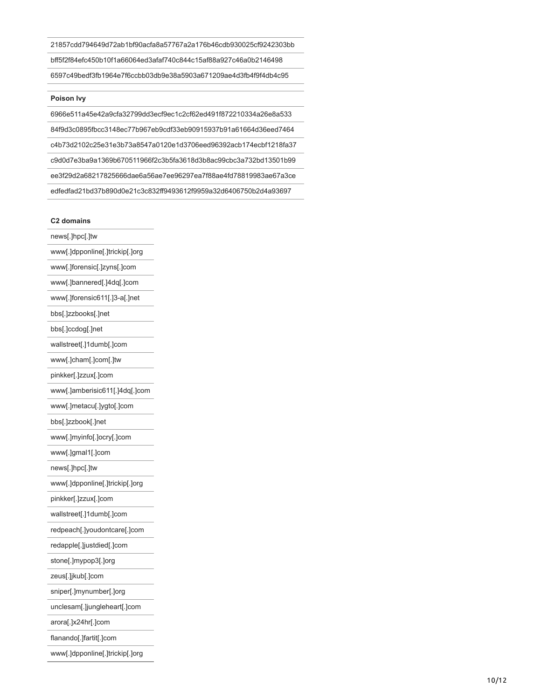21857cdd794649d72ab1bf90acfa8a57767a2a176b46cdb930025cf9242303bb bff5f2f84efc450b10f1a66064ed3afaf740c844c15af88a927c46a0b2146498 6597c49bedf3fb1964e7f6ccbb03db9e38a5903a671209ae4d3fb4f9f4db4c95

### **Poison Ivy**

6966e511a45e42a9cfa32799dd3ecf9ec1c2cf62ed491f872210334a26e8a533 84f9d3c0895fbcc3148ec77b967eb9cdf33eb90915937b91a61664d36eed7464 c4b73d2102c25e31e3b73a8547a0120e1d3706eed96392acb174ecbf1218fa37 c9d0d7e3ba9a1369b670511966f2c3b5fa3618d3b8ac99cbc3a732bd13501b99 ee3f29d2a68217825666dae6a56ae7ee96297ea7f88ae4fd78819983ae67a3ce edfedfad21bd37b890d0e21c3c832ff9493612f9959a32d6406750b2d4a93697

#### **C2 domains**

news[.]hpc[.]tw www[.]dpponline[.]trickip[.]org www[.]forensic[.]zyns[.]com www[.]bannered[.]4dq[.]com www[.]forensic611[.]3-a[.]net bbs[.]zzbooks[.]net bbs[.]ccdog[.]net wallstreet[.]1dumb[.]com www[.]cham[.]com[.]tw pinkker[.]zzux[.]com www[.]amberisic611[.]4dq[.]com www[.]metacu[.]ygto[.]com bbs[.]zzbook[.]net www[.]myinfo[.]ocry[.]com www[.]gmal1[.]com news[.]hpc[.]tw www[.]dpponline[.]trickip[.]org pinkker[.]zzux[.]com wallstreet[.]1dumb[.]com redpeach[.]youdontcare[.]com redapple[.]justdied[.]com stone[.]mypop3[.]org zeus[.]jkub[.]com sniper[.]mynumber[.]org unclesam[.]jungleheart[.]com arora[.]x24hr[.]com flanando[.]fartit[.]com

www[.]dpponline[.]trickip[.]org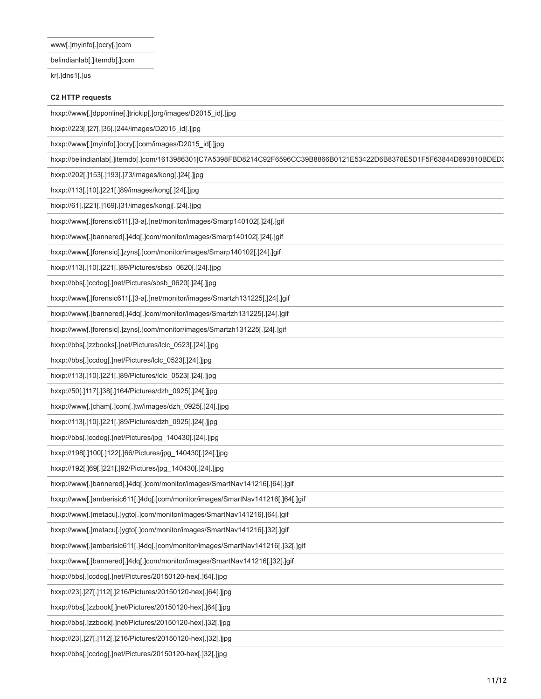www[.]myinfo[.]ocry[.]com

belindianlab[.]itemdb[.]com

kr[.]dns1[.]us

# **C2 HTTP requests**

hxxp://www[.]dpponline[.]trickip[.]org/images/D2015\_id[.]jpg

hxxp://223[.]27[.]35[.]244/images/D2015\_id[.]jpg

hxxp://www[.]myinfo[.]ocry[.]com/images/D2015\_id[.]jpg

hxxp://belindianlab[.]itemdb[.]com/1613986301|C7A5398FBD8214C92F6596CC39B8866B0121E53422D6B8378E5D1F5F63844D693810BDED3

hxxp://202[.]153[.]193[.]73/images/kong[.]24[.]jpg

hxxp://113[.]10[.]221[.]89/images/kong[.]24[.]jpg

hxxp://61[.]221[.]169[.]31/images/kongj[.]24[.]jpg

hxxp://www[.]forensic611[.]3-a[.]net/monitor/images/Smarp140102[.]24[.]gif

hxxp://www[.]bannered[.]4dq[.]com/monitor/images/Smarp140102[.]24[.]gif

hxxp://www[.]forensic[.]zyns[.]com/monitor/images/Smarp140102[.]24[.]gif

hxxp://113[.]10[.]221[.]89/Pictures/sbsb\_0620[.]24[.]jpg

hxxp://bbs[.]ccdog[.]net/Pictures/sbsb\_0620[.]24[.]jpg

hxxp://www[.]forensic611[.]3-a[.]net/monitor/images/Smartzh131225[.]24[.]gif

hxxp://www[.]bannered[.]4dq[.]com/monitor/images/Smartzh131225[.]24[.]gif

hxxp://www[.]forensic[.]zyns[.]com/monitor/images/Smartzh131225[.]24[.]gif

hxxp://bbs[.]zzbooks[.]net/Pictures/lclc\_0523[.]24[.]jpg

hxxp://bbs[.]ccdog[.]net/Pictures/lclc\_0523[.]24[.]jpg

hxxp://113[.]10[.]221[.]89/Pictures/lclc\_0523[.]24[.]jpg

hxxp://50[.]117[.]38[.]164/Pictures/dzh\_0925[.]24[.]jpg

hxxp://www[.]cham[.]com[.]tw/images/dzh\_0925[.]24[.]jpg

hxxp://113[.]10[.]221[.]89/Pictures/dzh\_0925[.]24[.]jpg

hxxp://bbs[.]ccdog[.]net/Pictures/jpg\_140430[.]24[.]jpg

hxxp://198[.]100[.]122[.]66/Pictures/jpg\_140430[.]24[.]jpg

hxxp://192[.]69[.]221[.]92/Pictures/jpg\_140430[.]24[.]jpg

hxxp://www[.]bannered[.]4dq[.]com/monitor/images/SmartNav141216[.]64[.]gif

hxxp://www[.]amberisic611[.]4dq[.]com/monitor/images/SmartNav141216[.]64[.]gif

hxxp://www[.]metacu[.]ygto[.]com/monitor/images/SmartNav141216[.]64[.]gif

hxxp://www[.]metacu[.]ygto[.]com/monitor/images/SmartNav141216[.]32[.]gif

hxxp://www[.]amberisic611[.]4dq[.]com/monitor/images/SmartNav141216[.]32[.]gif

hxxp://www[.]bannered[.]4dq[.]com/monitor/images/SmartNav141216[.]32[.]gif

hxxp://bbs[.]ccdog[.]net/Pictures/20150120-hex[.]64[.]jpg

hxxp://23[.]27[.]112[.]216/Pictures/20150120-hex[.]64[.]jpg

hxxp://bbs[.]zzbook[.]net/Pictures/20150120-hex[.]64[.]jpg

hxxp://bbs[.]zzbook[.]net/Pictures/20150120-hex[.]32[.]jpg

hxxp://23[.]27[.]112[.]216/Pictures/20150120-hex[.]32[.]jpg

hxxp://bbs[.]ccdog[.]net/Pictures/20150120-hex[.]32[.]jpg